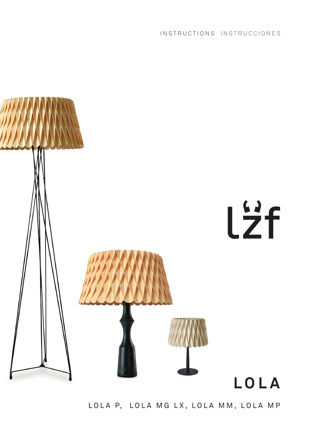INSTRUCTIONS INSTRUCCIONES



LOLA P, LOLA MG LX, LOLA MM, LOLA MP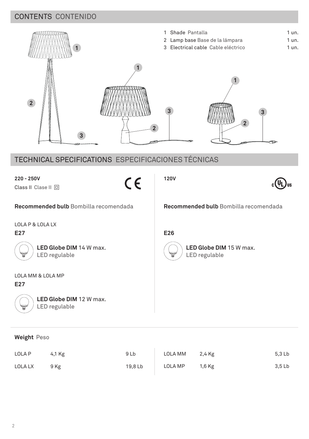## CONTENTS CONTENIDO



## TECHNICAL SPECIFICATIONS ESPECIFICACIONES TÉCNICAS

| $220 - 250V$<br>$\epsilon$                                 | 120V                                                       |
|------------------------------------------------------------|------------------------------------------------------------|
| Class II Clase II 回                                        |                                                            |
| Recommended bulb Bombilla recomendada                      | Recommended bulb Bombilla recomendada                      |
| LOLA P & LOLA LX                                           |                                                            |
| E27                                                        | E26                                                        |
| LED Globe DIM 14 W max.<br>Ψ<br>LED regulable              | LED Globe DIM 15 W max.<br><b>WILLIAM</b><br>LED regulable |
| LOLA MM & LOLA MP                                          |                                                            |
| E27                                                        |                                                            |
| LED Globe DIM 12 W max.<br>LED regulable<br>$\mathbb{Z}^2$ |                                                            |
|                                                            |                                                            |

## **Weight** Peso

| LOLA P  | 4,1 Kg | 9 Lb    | LOLA MM | 2,4 Kg | 5,3 Lb |
|---------|--------|---------|---------|--------|--------|
| LOLA LX | 9 Kg   | 19.8 Lb | LOLA MP | 1,6 Kg | 3,5 Lb |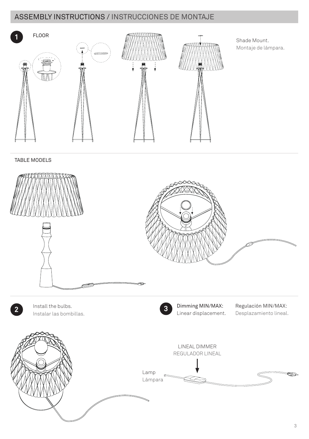## ASSEMBLY INSTRUCTIONS / INSTRUCCIONES DE MONTAJE





Install the bulbs. Instalar las bombillas.



**2 1** Install the bulbs. **3 2 3 Dimming MIN/MAX:** Linear displacement.

 Regulación MIN/MAX: Desplazamiento lineal.